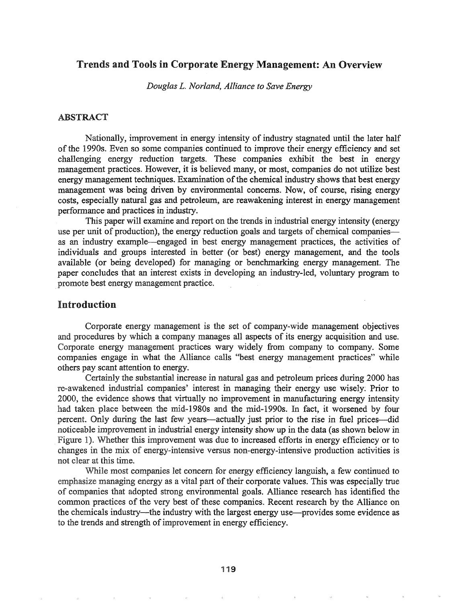## Trends and Tools in Corporate Energy Management: An Overview

*Douglas L. Norland, Alliance to Save Energy*

## ABSTRACT

Nationally, improvement in energy intensity of industry stagnated until the later half of the 1990s. Even so some companies continued to improve their energy efficiency and set challenging energy reduction targets. These companies exhibit the best in energy management practices. However, it is believed many, or most, companies do not utilize best energy management techniques. Examination of the chemical industry shows that best energy management was being driven by environmental concerns. Now, of course, rising energy costs, especially natural gas and petroleum, are reawakening interest in energy management performance and practices in industry.

This paper will examine and report on the trends in industrial energy intensity (energy use per unit of production), the energy reduction goals and targets of chemical companiesas an industry example—engaged in best energy management practices, the activities of individuals and groups interested in better (or best) energy management, and the tools available (or being developed) for managing or benchmarking energy management. The paper concludes that an interest exists in developing an industry-led, voluntary program to promote best energy management practice.

## Introduction

Corporate energy management is the set of company-wide management objectives and procedures by which a company manages all aspects of its energy acquisition and use.. Corporate energy management practices wary widely from company to company.. Some companies engage in what the Alliance calls "best energy management practices" while others pay scant attention to energy.

Certainly the substantial increase in natural gas and petroleum prices during 2000 has re-awakened industrial companies' interest in managing their energy use wisely. Prior to 2000, the evidence shows that virtually no improvement in manufacturing energy intensity had taken place between the mid-1980s and the mid-1990s. In fact, it worsened by four percent. Only during the last few years—actually just prior to the rise in fuel prices—did noticeable improvement in industrial energy intensity show up in the data (as shown below in Figure 1). Whether this improvement was due to increased efforts in energy efficiency or to changes in the mix of energy-intensive versus non-energy-intensive production activities is not clear at this time.

While most companies let concern for energy efficiency languish, a few continued to emphasize managing energy as a vital part of their corporate values. This was especially true of companies that adopted strong environmental goals. Alliance research has identified the common practices of the very best of these companies. Recent research by the Alliance on the chemicals industry-the industry with the largest energy use-provides some evidence as to the trends and strength of improvement in energy efficiency.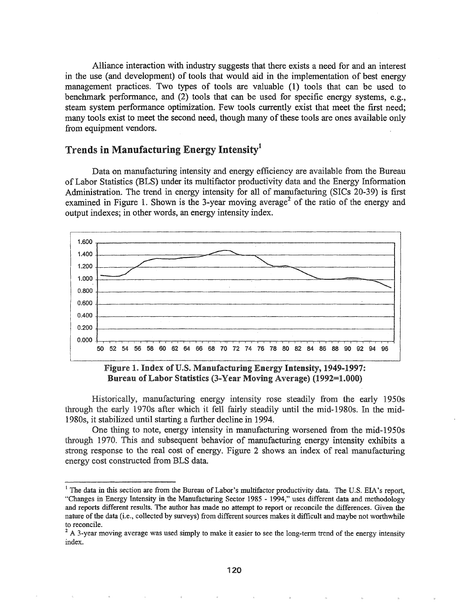Alliance interaction with industry suggests that there exists a need for and an interest in the use (and development) of tools that would aid in the implementation of best energy management practices. Two types of tools are valuable (1) tools that can be used to benchmark performance, and (2) tools that can be used for specific energy systems, e.g., steam system perfonnance optimization. Few tools currently exist that meet the first need; many tools exist to meet the second need, though many of these tools are ones available only from equipment vendors.

# Trends in Manufacturing Energy Intensityl

Data on manufacturing intensity and energy efficiency are available from the Bureau of Labor Statistics (BLS) under its multifactor productivity data and the Energy Infonnation Administration. The trend in energy intensity for all of manufacturing (SICs 20-39) is first examined in Figure 1. Shown is the 3-year moving average<sup>2</sup> of the ratio of the energy and output indexes; in other words, an energy intensity index.



Figure 1. Index of U.S. Manufacturing Energy Intensity, 1949-1997: Bureau of Labor Statistics (3-Year Moving Average) (1992=1.000)

manufacturing energy intensity rose steadily from the early 1950s through the early 1970s after which it fell fairly steadily until the mid-1980s. In the mid-1980s, it stabilized until starting a further decline in 1994.

One thing to note, energy intensity in manufacturing worsened from the mid-1950s through 1970. This and subsequent behavior of manufacturing energy intensity exhibits a strong response to the real cost of energy. Figure 2 shows an index of real manufacturing energy cost constructed from BLS data.

<sup>&</sup>lt;sup>1</sup> The data in this section are from the Bureau of Labor's multifactor productivity data. The U.S. EIA's report, "Changes in Energy Intensity in the Manufacturing Sector 1985 - 1994," uses different data and methodology and reports different results. The author has made no attempt to report or reconcile the differences. Given the nature of the data (i.e., collected by surveys) from different sources makes it difficult and maybe not worthwhile to reconcile.

<sup>&</sup>lt;sup>2</sup> A 3-year moving average was used simply to make it easier to see the long-term trend of the energy intensity index.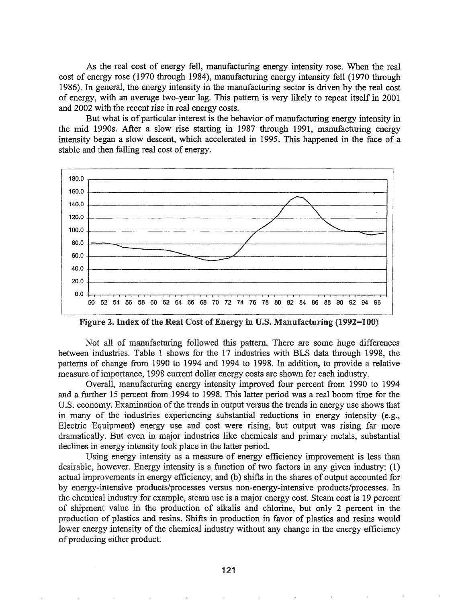As the real cost of energy fell, manufacturing energy intensity rose. When the real cost of energy rose (1970 through 1984), manufacturing energy intensity fell (1970 through 1986). In general, the energy intensity in the manufacturing sector is driven by the real cost of energy, 'with an average two-year lag. This pattern is very likely to repeat itself in 2001 and 2002 with the recent rise in real energy costs.

But what is of particular interest is the behavior of manufacturing energy intensity in the mid 1990s. After a slow rise starting in 1987 through 1991, manufacturing energy intensity began a slow descent, which accelerated in 1995.. This happened in the face of a stable and then falling real cost of energy.



Figure 2. Index of the Real Cost of Energy in U.S. Manufacturing (1992=100)

Not all of manufacturing followed this pattern. There are some huge differences between' industries. Table 1 shows for the 17 industries with BLS data through 1998, the patterns of change from 1990 to 1994 and 1994 to 1998. In addition, to provide a relative measure ofimportance, 1998 current dollar energy costs are shown for each industry.

Overall, manufacturing energy intensity improved four percent from 1990 to 1994 and a further 15 percent from 1994 to 1998. This latter period was a real boom time for the U.S. economy. Examination of the trends in output versus the trends in energy use shows that in many of the industries experiencing substantial reductions in energy intensity (e.g., Electric Equipment) energy use and cost were rising, but output was rising far more dramatically. But even in major industries like chemicals and primary metals, substantial declines in energy intensity took place in the latter period.

Using energy intensity as a measure of energy efficiency improvement is less than desirable, however. Energy intensity is a function of two factors in any given industry:  $(1)$ actual improvements in energy efficiency, and (b) shifts in the shares of output accounted for by energy-intensive products/processes versus non-energy-intensive products/processes. In chemical industry for example, steam use is a major energy cost. Steam cost is 19 percent of shipment value in the production of alkalis and chlorine, but only 2 percent in the production of plastics and resins. Shifts in production in favor of plastics and resins would lower energy intensity of the chemical industry without any change in the energy efficiency of producing either product.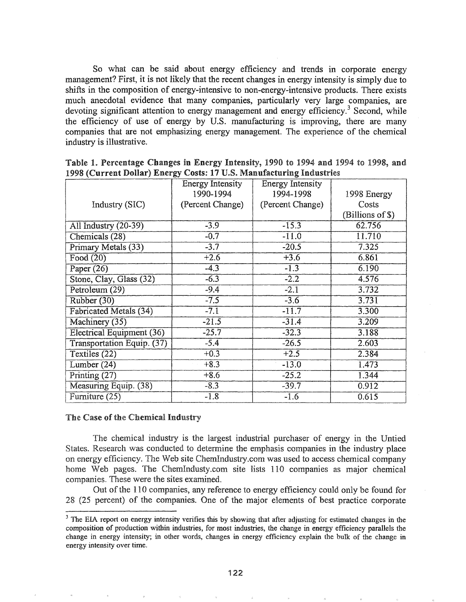So what can be said about energy efficiency and trends in corporate energy management? First, it is not likely that the recent changes in energy intensity is simply due to shifts in the composition of energy-intensive to non-energy-intensive products. There exists much anecdotal evidence that many companies, particularly very large companies, are devoting significant attention to energy management and energy efficiency.<sup>3</sup> Second, while the efficiency of use of energy by U.S. manufacturing is improving, there are many companies that are not emphasizing energy management.. The experience of the chemical industry is illustrative.

|                                  | <b>Energy Intensity</b> | Energy Intensity |                  |  |  |
|----------------------------------|-------------------------|------------------|------------------|--|--|
|                                  | 1990-1994               | 1994-1998        | 1998 Energy      |  |  |
| Industry (SIC)                   | (Percent Change)        | (Percent Change) | Costs            |  |  |
|                                  |                         |                  | (Billions of \$) |  |  |
| All Industry (20-39)             | $-3.9$                  | $-15.3$          | 62.756           |  |  |
| Chemicals (28)                   | $-0.7$                  | $-11.0$          | 11.710           |  |  |
| Primary Metals (33)              | $-3.7$                  | $-20.5$          | 7.325            |  |  |
| Food (20)                        | $+2.6$                  | $+3.6$           | 6.861            |  |  |
| Paper $(26)$                     | $-4.3$                  | $-1.3$           | 6.190            |  |  |
| Stone, Clay, Glass (32)          | $-6.3$                  | $-2.2$           | 4.576            |  |  |
| Petroleum (29)                   | $-9.4$                  | $-2.1$           | 3.732            |  |  |
| Rubber (30)                      | $-7.5$                  | $-3.6$           | 3.731            |  |  |
| <b>Fabricated Metals (34)</b>    | $-7.1$                  | $-11.7$          | 3.300            |  |  |
| Machinery (35)                   | $-21.5$                 | $-31.4$          | 3.209            |  |  |
| <b>Electrical Equipment (36)</b> | $-25.7$                 | $-32.3$          | 3.188            |  |  |
| Transportation Equip. (37)       | $-5.4$                  | $-26.5$          | 2.603            |  |  |
| Textiles (22)                    | $+0.3$                  | $+2.5$           | 2.384            |  |  |
| Lumber $(24)$                    | $+8.3$                  | $-13.0$          | 1.473            |  |  |
| Printing $(27)$                  | $+8.6$                  | $-25.2$          | 1.344            |  |  |
| Measuring Equip. (38)            | $-8.3$                  | $-39.7$          | 0.912            |  |  |
| Furniture (25)                   | $-1.8$                  | $-1.6$           | 0.615            |  |  |

| Table 1. Percentage Changes in Energy Intensity, 1990 to 1994 and 1994 to 1998, and |  |  |  |  |  |  |  |  |  |  |
|-------------------------------------------------------------------------------------|--|--|--|--|--|--|--|--|--|--|
| 1998 (Current Dollar) Energy Costs: 17 U.S. Manufacturing Industries                |  |  |  |  |  |  |  |  |  |  |

#### The Case of the Chemical Industry

The chemical industry is the largest industrial purchaser of energy in the Untied States. Research was conducted to determine the emphasis companies in the industry place on energy efficiency. The Web site ChemIndustry.com was used to access chemical company home Web pages. The ChemIndusty.com site lists 110 companies as major chemical companies. These were the sites examined.

Out of the 110 companies, any reference to energy efficiency could only be found for 28 (25 percent) of the companies. One of the major elements of best practice corporate

<sup>&</sup>lt;sup>3</sup> The EIA report on energy intensity verifies this by showing that after adjusting for estimated changes in the composition of production within industries, for most industries, the change in energy efficiency parallels the change in energy intensity; in other words, changes in energy efficiency explain the bulk of the change in energy intensity over time.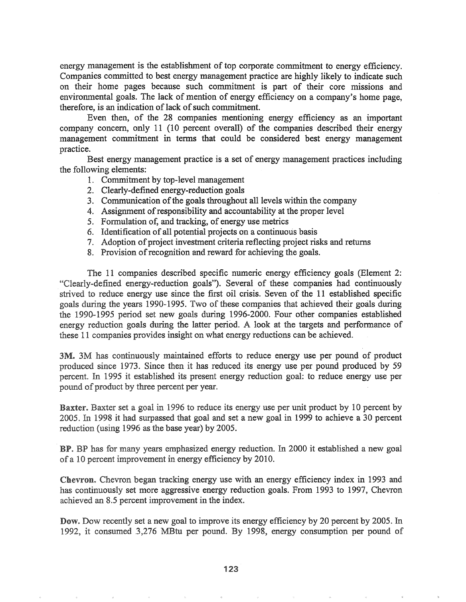energy management is the establishment of top corporate commitment to energy efficiency. Companies committed to best energy management practice are highly likely to indicate such on their home pages because such commitment is part of their core missions and environmental goals. The lack of mention of energy efficiency on a company's home page, therefore, is an indication of lack of such commitment.

Even then, of the 28 companies mentioning energy efficiency as an important company concern, only 11 (10 percent overall) of the companies described their energy management commitment in terms that could be considered best energy management practice.

Best energy management practice is a set of energy management practices including the following elements:

- 1. Commitment by top-level management
- 2. Clearly-defined energy-reduction goals
- 3. Communication of the goals throughout all levels within the company
- 4. Assignment of responsibility and accountability at the proper level
- 5. Fonnulation of, and tracking, of energy use metrics
- 6. Identification of all potential projects on a continuous basis
- 7. Adoption of project investment criteria reflecting project risks and returns
- 8. Provision of recognition and reward for achieving the goals.

The 11 companies described specific numeric energy efficiency goals (Element 2: "Clearly-defined energy-reduction goals"). Several of these companies had continuously strived to reduce energy use since the first oil crisis. Seven of the 11 established specific goals during the years 1990-1995. Two of these companies that achieved their goals during the 1990-1995 period set new goals during 1996-2000. Four other companies established energy reduction goals during the latter period. A look at the targets and perfonnance of these 11 companies provides insight on what energy reductions can be achieved.

3M. 3M has continuously maintained efforts to reduce energy use per pound of product produced since 1973. Since then it has reduced its energy use per pound produced by 59 percent. In 1995 it established its present energy reduction goal: to reduce energy use per pound of product by three percent per year.

**Baxter.** Baxter set a goal in 1996 to reduce its energy use per unit product by 10 percent by 2005. In 1998 it had surpassed that goal and set a new goal in 1999 to achieve a 30 percent reduction (using  $1996$  as the base year) by 2005.

**BP.** BP has for many years emphasized energy reduction. In 2000 it established a new goal of a 10 percent improvement in energy efficiency by 2010.

Chevron began tracking energy use with an energy efficiency index in 1993 and has continuously set more aggressive energy reduction goals. From 1993 to 1997, Chevron achieved an 8.5 percent improvement in the index.

Dow. Dow recently set a new goal to improve its energy efficiency by 20 percent by 2005. In 1992, it consumed .3,276 MBtu per pound. By 1998, energy consumption per pound of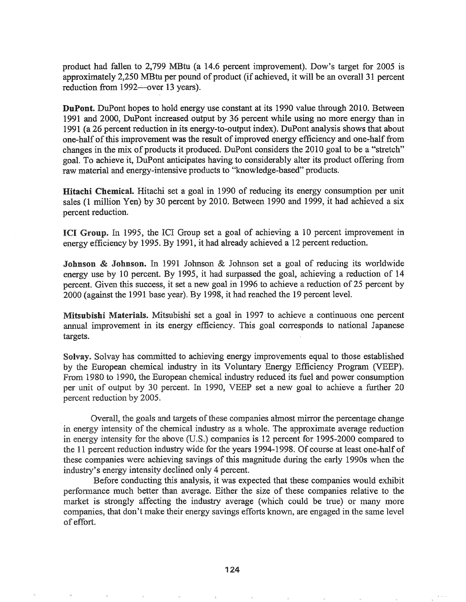product had fallen to 2,799 MBtu (a 14.6 percent improvement). Dow's target for 2005 is approximately 2,250 MBtu per pound of product (if achieved, it will be an overall 31 percent reduction from  $1992$ —over 13 years).

DuPont. DuPont hopes to hold energy use constant at its 1990 value through 2010. Between 1991 and 2000, DuPont increased output by 36 percent while using no more energy than in 1991 (a 26 percent reduction in its energy-to-output index). DuPont analysis shows that about one-half of this improvement was the result of improved energy efficiency and one-half from changes in the mix of products it produced. DuPont considers the 2010 goal to be a "stretch" goal. To achieve it, DuPont anticipates having to considerably alter its product offering from raw material and energy-intensive products to "knowledge-based" products.

Hitachi Chemical. Hitachi set a goal in 1990 of reducing its energy consumption per unit sales (1 million Yen) by 30 percent by 2010. Between 1990 and 1999, it had achieved a six percent reduction.

**ICI Group.** In 1995, the ICI Group set a goal of achieving a 10 percent improvement in energy efficiency by 1995. By 1991, it had already achieved a 12 percent reduction.

Johnson & Johnson. In 1991 Johnson & Johnson set a goal of reducing its worldwide energy use by 10 percent. By 1995, it had surpassed the goal, achieving a reduction of 14 percent. Given this success, it set a new goal in 1996 to achieve a reduction of 25 percent by 2000 (against the 1991 base year). By 1998, it had reached the 19 percent level.

Mitsubishi Materials. Mitsubishi set a goal in 1997 to achieve a continuous one percent annual improvement in its energy efficiency. This goal corresponds to national Japanese targets.

Solvay. Solvay has committed to achieving energy improvements equal to those established by the European chemical industry in its Voluntary Energy Efficiency Program (VEEP). 1980 to 1990, the European chemical industry reduced its fuel and power consumption per unit of output by 30 percent. In 1990, VEEP set a new goal to achieve a further 20 percent reduction by 2005.

Overall, the goals and targets of these companies almost mirror the percentage change in energy intensity of the chemical industry as a whole. The approximate average reduction in energy intensity for the above (U.S.) companies is 12 percent for 1995-2000 compared to the 11 percent reduction industry wide for the years 1994-1998. Of course at least one-half of these companies were achieving savings of this magnitude during the early 1990s when the industry's energy intensity declined only 4 percent.

Before conducting this analysis, it was expected that these companies would exhibit performance much better than average. Either the size of these companies relative to the market is strongly affecting the industry average (which could be true) or many more companies, that don't make their energy savings efforts known, are engaged in the same level of effort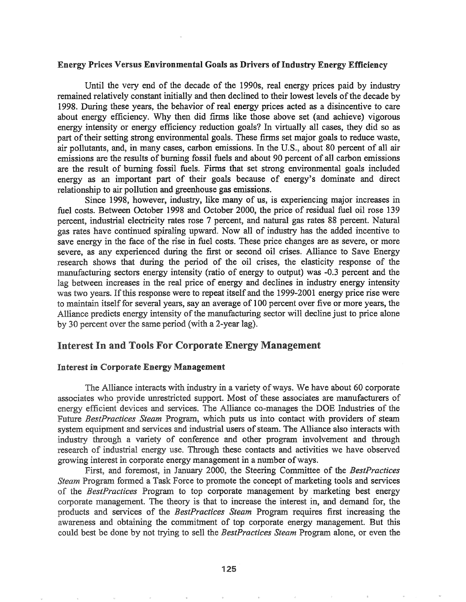#### Energy Prices Versus Environmental Goals as Drivers ofIndustry Energy Efficiency

Until the very end of the decade of the 1990s, real energy prices paid by industry remained relatively constant initially and then declined to their lowest levels of the decade by 1998. During these years, the behavior of real energy prices acted as a disincentive to care about energy efficiency. Why then did firms like those above set (and achieve) vigorous energy intensity or energy efficiency reduction goals? In virtually all cases, they did so as part of their setting strong environmental goals. These firms set major goals to reduce waste, air pollutants, and, in many cases, carbon emissions. In the U.S., about 80 percent of all air emissions are the results of burning fossil fuels and about 90 percent of all carbon emissions are the result of burning fossil fuels. Firms that set strong environmental goals included energy as an important part of their goals because of energy's dominate and direct relationship to air pollution and greenhouse gas emissions.

Since 1998, however, industry, like many of us, is experiencing major increases in fuel costs. Between October 1998 and October 2000, the price of residual fuel oil rose 139 percent, industrial electricity rates rose 7 percent, and natural gas rates 88 percent. Natural gas rates have continued spiraling upward~ Now all of industry has the added incentive to save energy in the face of the rise in fuel costs. These price changes are as severe, or more severe, as any experienced during the first or second oil crises. Alliance to Save Energy research shows that during the period of the oil crises, the elasticity response of the manufacturing sectors energy intensity (ratio of energy to output) was -0.3 percent and the lag between increases in the real price of energy and declines in industry energy intensity was two years. If this response were to repeat itself and the 1999-2001 energy price rise were to maintain itself for several years, say an average of 100 percent over five or more years, the Alliance predicts energy intensity of the manufacturing sector will decline just to price alone by 30 percent over the same period (with a 2-year lag).

### Interest In and Tools For Corporate Energy Management

#### Interest in Corporate Energy Management

The Alliance interacts with industry in a variety of ways. We have about 60 corporate associates who provide unrestricted support. Most of these associates are manufacturers of energy efficient devices and services. The Alliance co-manages the DOE Industries of the Future *BestPractices Steam* Program, which puts us into contact with providers of steam system equipment and services and industrial users of steam. The Alliance also interacts with industry through a variety of conference and other program involvement and through research of industrial energy use. Through these contacts and activities we have observed growing interest in corporate energy management in a number of ways.

First, and foremost, in January 2000, the Steering Committee of the *BestPractices Steam* Program formed a Task Force to promote the concept of marketing tools and services the *RestPractices* Program to top corporate management by marketing best energy corporate management. The theory is that to increase the interest in, and demand for, the products services of the *BestPractices Steam* Program requires first increasing the awareness and obtaining the commitment of top corporate energy management. But this could best done by not trying to sell the *BestPractices Steam* Program alone, or even the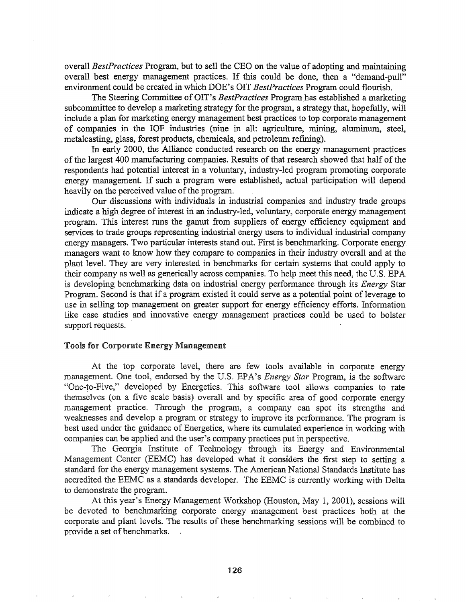overall *BestPractices* Program, but to sell the CEO on the value of adopting and maintaining overall best energy management practices. If this could be done, then a "demand-pull" environment could be created in which DOE's OIT *BestPractices* Program could flourish.

The Steering Committee of OIT's *BestPractices* Program has established a marketing subcommittee to develop a marketing strategy for the program, a strategy that, hopefully, will include a plan for marketing energy management best practices to top corporate management of companies in the lOF industries (nine in all: agriculture, mining, aluminum, steel, metalcasting, glass, forest products, chemicals, and petroleum refining).

In early 2000, the Alliance conducted research on the energy management practices of the largest 400 manufacturing companies. Results of that research showed that half of the respondents had potential interest in a voluntary, industry-led program promoting corporate energy management. If such a program were established, actual participation will depend heavily on the perceived value of the program.

Our discussions with individuals in industrial companies and industry trade groups indicate a high degree of interest in an industry-led, voluntary, corporate energy management program. This interest runs the gamut from suppliers of energy efficiency equipment and services to trade groups representing industrial energy users to individual industrial company energy managers. Two particular interests stand out. First is benchmarking. Corporate energy managers want to know how they compare to companies in their industry overall and at the plant level. They are very interested in benchmarks for certain systems that could apply to their company as well as generically across companies. To help meet this need, the U.S. EPA is developing benchmarking data on industrial energy performance through its *Energy* Star Program. Second is that if a program existed it could serve as a potential point of leverage to use in selling top management on greater support for energy efficiency efforts. Information like case studies and innovative energy management practices could be used to bolster support requests.

#### Tools for Corporate Energy Management

At the top corporate level, there are few tools available in corporate energy management. One tool, endorsed by the U.S. *EPA's <i>Energy Star* Program, is the software "One-to-Five," developed by Energetics. This software tool allows companies to rate themselves (on a five scale basis) overall and by specific area of good corporate energy management practice. Through the program, a company can spot its strengths and weaknesses and develop a program or strategy to improve its performance. The program is best used under the guidance of Energetics, where its cumulated experience in working with companies can be applied and the user's company practices put in perspective.

Georgia Institute of Technology through its Energy and Environmental Management Center (EEMC) has developed what it considers the first step to setting a standard for the energy management systems. The American National Standards Institute has accredited the EEMC as a standards developer. The EEMC is currently working with Delta to demonstrate the program.

At this year's Energy Management Workshop (Houston, May 1, 2001), sessions will be devoted to benchmarking corporate energy management best practices both at the corporate and plant levels. The results of these benchmarking sessions will be combined to provide a set of benchmarks.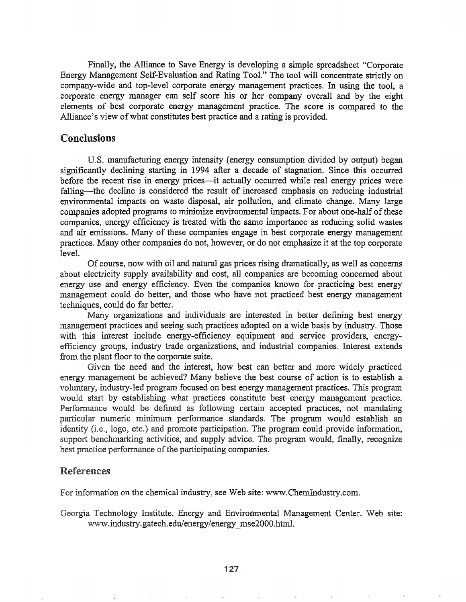Finally, the Alliance to Save Energy is developing a simple spreadsheet "Corporate" Energy Management Self-Evaluation and Rating Too!." The tool will concentrate strictly on company-wide and top-level corporate energy management practices. In using the tool, a corporate energy manager can self score his or her company overall and by the eight elements of best corporate energy management practice. The score is compared to the Alliance's view of what constitutes best practice and a rating is provided.

# Conclusions

U.S. manufacturing energy intensity (energy consumption divided by output) began significantly declining starting in 1994 after a decade of stagnation. Since this occurred before the recent rise in energy prices—it actually occurred while real energy prices were falling—the decline is considered the result of increased emphasis on reducing industrial environmental impacts on waste disposal, air pollution, and climate change. Many large companies adopted programs to minimize environmental impacts. For about one-half of these companies, energy efficiency is treated with the same importance as reducing solid wastes and air emissions. Many of these companies engage in best corporate energy management practices.. Many other companies do not, however, or do not emphasize it at the top corporate level.

Of course, now with oil and natural gas prices rising dramatically, as well as concerns about electricity supply availability and cost, all companies are becoming concerned about energy use and energy efficiency. Even the companies known for practicing best energy management could do better, and those who have not practiced best energy management techniques, could do far better..

Many organizations and individuals are interested in better defining best energy management practices and seeing such practices adopted on a wide basis by industry.. Those with this interest include energy-efficiency equipment and service providers, energyefficiency groups, industry trade organizations, and industrial companies.. Interest extends from the plant floor to the corporate suite.

Given the need and the interest, how best can better and more widely practiced energy management be achieved? Many believe the best course of action is to establish a voluntary, industry-led program focused on best energy management practices. This program would start by establishing what practices constitute best energy management practice. Performance would be defined as following certain accepted practices, not mandating particular numeric minimum performance standards. The program would establish an identity  $(i.e., logo, etc.)$  and promote participation. The program could provide information, support benchmarking activities, and supply advice. The program would, finally, recognize best practice performance of the participating companies.

## **References**

For information on the chemical industry, see Web site: www.ChemIndustry.com.

*Georgia Technology Institute. Energy and Environmental Management Center. Web site:* www.industry.gatech.edu/energy/energy\_mse2000.html.